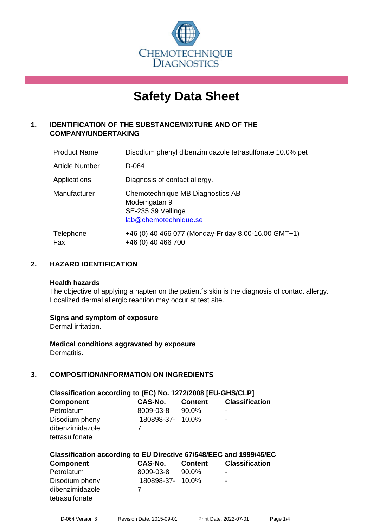

# **Safety Data Sheet**

# **1. IDENTIFICATION OF THE SUBSTANCE/MIXTURE AND OF THE COMPANY/UNDERTAKING**

| <b>Product Name</b>   | Disodium phenyl dibenzimidazole tetrasulfonate 10.0% pet                                        |
|-----------------------|-------------------------------------------------------------------------------------------------|
| <b>Article Number</b> | D-064                                                                                           |
| Applications          | Diagnosis of contact allergy.                                                                   |
| Manufacturer          | Chemotechnique MB Diagnostics AB<br>Modemgatan 9<br>SE-235 39 Vellinge<br>lab@chemotechnique.se |
| Telephone<br>Fax      | +46 (0) 40 466 077 (Monday-Friday 8.00-16.00 GMT+1)<br>+46 (0) 40 466 700                       |

# **2. HAZARD IDENTIFICATION**

#### **Health hazards**

The objective of applying a hapten on the patient's skin is the diagnosis of contact allergy. Localized dermal allergic reaction may occur at test site.

# **Signs and symptom of exposure**

Dermal irritation.

**Medical conditions aggravated by exposure** Dermatitis.

# **3. COMPOSITION/INFORMATION ON INGREDIENTS**

| Classification according to (EC) No. 1272/2008 [EU-GHS/CLP] |                  |                |                       |  |
|-------------------------------------------------------------|------------------|----------------|-----------------------|--|
| <b>Component</b>                                            | <b>CAS-No.</b>   | <b>Content</b> | <b>Classification</b> |  |
| Petrolatum                                                  | 8009-03-8        | 90.0%          | ۰                     |  |
| Disodium phenyl                                             | 180898-37- 10.0% |                | ۰                     |  |
| dibenzimidazole                                             |                  |                |                       |  |
| tetrasulfonate                                              |                  |                |                       |  |

# **Classification according to EU Directive 67/548/EEC and 1999/45/EC**

| <b>Component</b> | CAS-No.          | <b>Content</b> | <b>Classification</b>    |
|------------------|------------------|----------------|--------------------------|
| Petrolatum       | 8009-03-8        | 90.0%          | -                        |
| Disodium phenyl  | 180898-37- 10.0% |                | $\overline{\phantom{a}}$ |
| dibenzimidazole  |                  |                |                          |
| tetrasulfonate   |                  |                |                          |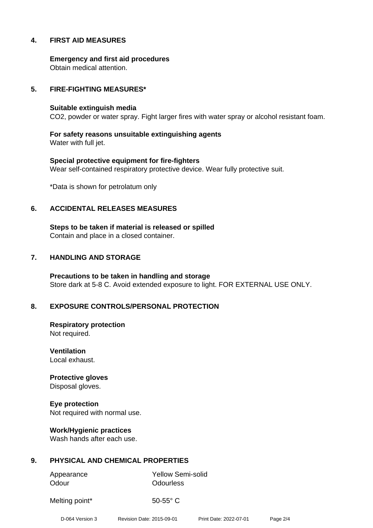# **4. FIRST AID MEASURES**

**Emergency and first aid procedures** Obtain medical attention.

## **5. FIRE-FIGHTING MEASURES\***

#### **Suitable extinguish media**

CO2, powder or water spray. Fight larger fires with water spray or alcohol resistant foam.

**For safety reasons unsuitable extinguishing agents** Water with full jet.

**Special protective equipment for fire-fighters** Wear self-contained respiratory protective device. Wear fully protective suit.

\*Data is shown for petrolatum only

#### **6. ACCIDENTAL RELEASES MEASURES**

**Steps to be taken if material is released or spilled** Contain and place in a closed container.

## **7. HANDLING AND STORAGE**

**Precautions to be taken in handling and storage** Store dark at 5-8 C. Avoid extended exposure to light. FOR EXTERNAL USE ONLY.

# **8. EXPOSURE CONTROLS/PERSONAL PROTECTION**

**Respiratory protection** Not required.

**Ventilation** Local exhaust.

**Protective gloves** Disposal gloves.

**Eye protection** Not required with normal use.

**Work/Hygienic practices** Wash hands after each use.

# **9. PHYSICAL AND CHEMICAL PROPERTIES**

Odour **Odourless** 

Appearance Yellow Semi-solid

Melting point\* 50-55° C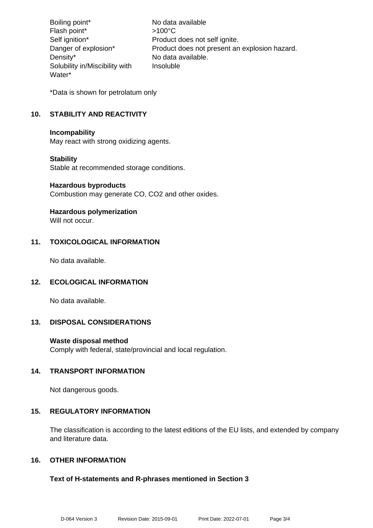Boiling point\* No data available Flash point\* >100°C Self ignition\* Product does not self ignite. Danger of explosion\* Product does not present an explosion hazard. Density\* No data available. Solubility in/Miscibility with Water\* Insoluble

\*Data is shown for petrolatum only

# **10. STABILITY AND REACTIVITY**

#### **Incompability**

May react with strong oxidizing agents.

# **Stability**

Stable at recommended storage conditions.

#### **Hazardous byproducts**

Combustion may generate CO, CO2 and other oxides.

# **Hazardous polymerization**

Will not occur.

# **11. TOXICOLOGICAL INFORMATION**

No data available.

# **12. ECOLOGICAL INFORMATION**

No data available.

# **13. DISPOSAL CONSIDERATIONS**

# **Waste disposal method**

Comply with federal, state/provincial and local regulation.

# **14. TRANSPORT INFORMATION**

Not dangerous goods.

# **15. REGULATORY INFORMATION**

The classification is according to the latest editions of the EU lists, and extended by company and literature data.

# **16. OTHER INFORMATION**

# **Text of H-statements and R-phrases mentioned in Section 3**